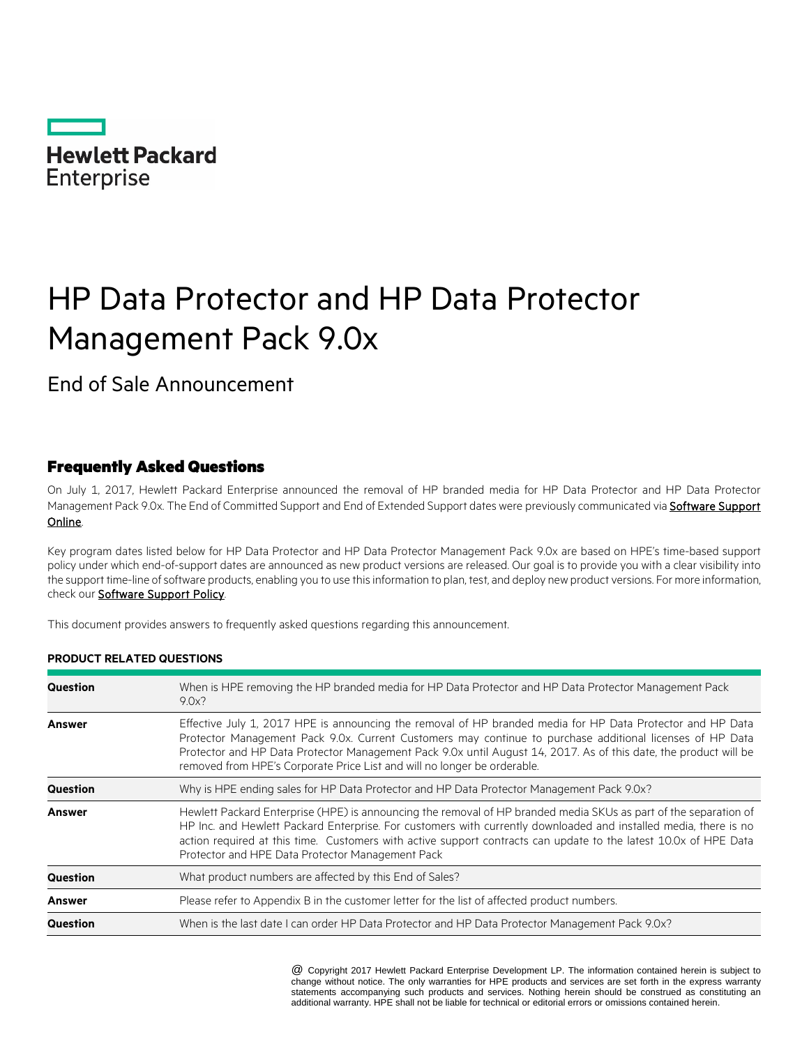

# HP Data Protector and HP Data Protector Management Pack 9.0x

End of Sale Announcement

## Frequently Asked Questions

On July 1, 2017, Hewlett Packard Enterprise announced the removal of HP branded media for HP Data Protector and HP Data Protector Management Pack 9.0x. The End of Committed Support and End of Extended Support dates were previously communicated via Software Support [Online.](https://softwaresupport.hpe.com/obsolescence-migrations)

Key program dates listed below for HP Data Protector and HP Data Protector Management Pack 9.0x are based on HPE's time-based support policy under which end-of-support dates are announced as new product versions are released. Our goal is to provide you with a clear visibility into the support time-line of software products, enabling you to use this information to plan, test, and deploy new product versions. For more information, check our **Software Support Policy**.

This document provides answers to frequently asked questions regarding this announcement.

#### **PRODUCT RELATED QUESTIONS**

| Question        | When is HPE removing the HP branded media for HP Data Protector and HP Data Protector Management Pack<br>$9.0x$ ?                                                                                                                                                                                                                                                                                                       |  |
|-----------------|-------------------------------------------------------------------------------------------------------------------------------------------------------------------------------------------------------------------------------------------------------------------------------------------------------------------------------------------------------------------------------------------------------------------------|--|
| Answer          | Effective July 1, 2017 HPE is announcing the removal of HP branded media for HP Data Protector and HP Data<br>Protector Management Pack 9.0x. Current Customers may continue to purchase additional licenses of HP Data<br>Protector and HP Data Protector Management Pack 9.0x until August 14, 2017. As of this date, the product will be<br>removed from HPE's Corporate Price List and will no longer be orderable. |  |
| <b>Question</b> | Why is HPE ending sales for HP Data Protector and HP Data Protector Management Pack 9.0x?                                                                                                                                                                                                                                                                                                                               |  |
| <b>Answer</b>   | Hewlett Packard Enterprise (HPE) is announcing the removal of HP branded media SKUs as part of the separation of<br>HP Inc. and Hewlett Packard Enterprise. For customers with currently downloaded and installed media, there is no<br>action required at this time. Customers with active support contracts can update to the latest 10.0x of HPE Data<br>Protector and HPE Data Protector Management Pack            |  |
| <b>Question</b> | What product numbers are affected by this End of Sales?                                                                                                                                                                                                                                                                                                                                                                 |  |
| <b>Answer</b>   | Please refer to Appendix B in the customer letter for the list of affected product numbers.                                                                                                                                                                                                                                                                                                                             |  |
| Question        | When is the last date I can order HP Data Protector and HP Data Protector Management Pack 9.0x?                                                                                                                                                                                                                                                                                                                         |  |

\* @ Copyright 2017 Hewlett Packard Enterprise Development LP. The information contained herein is subject to change without notice. The only warranties for HPE products and services are set forth in the express warranty statements accompanying such products and services. Nothing herein should be construed as constituting an additional warranty. HPE shall not be liable for technical or editorial errors or omissions contained herein.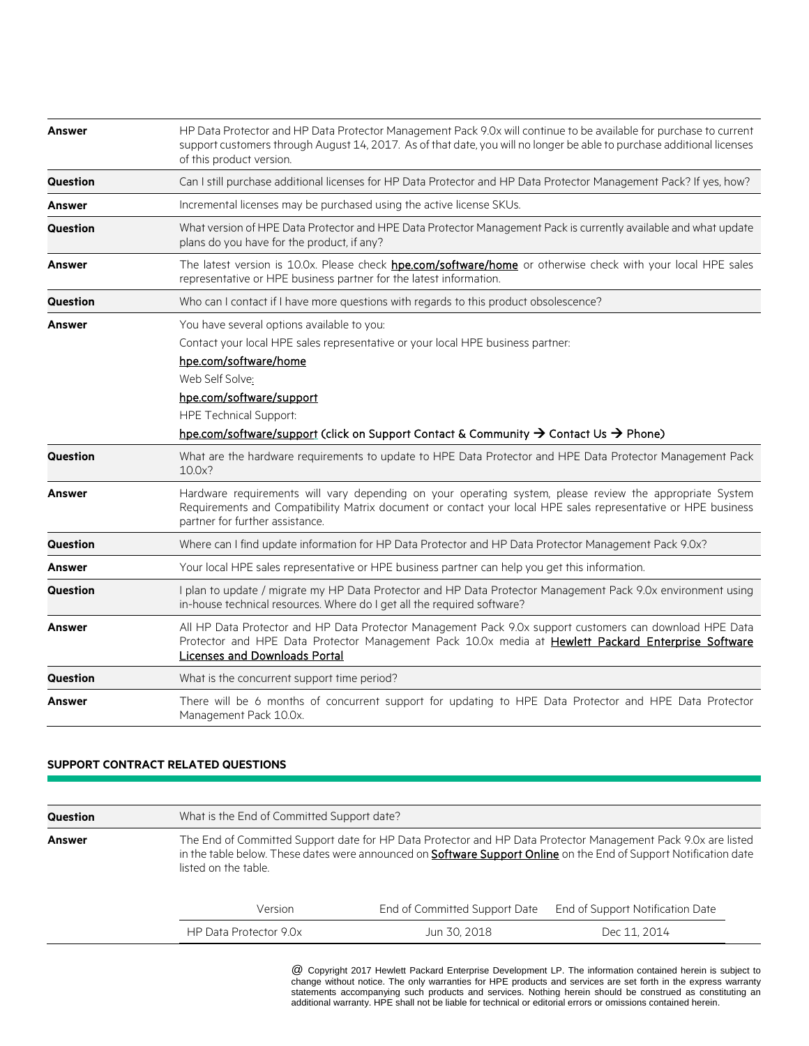| <b>Answer</b>   | HP Data Protector and HP Data Protector Management Pack 9.0x will continue to be available for purchase to current<br>support customers through August 14, 2017. As of that date, you will no longer be able to purchase additional licenses<br>of this product version. |  |  |
|-----------------|--------------------------------------------------------------------------------------------------------------------------------------------------------------------------------------------------------------------------------------------------------------------------|--|--|
| Question        | Can I still purchase additional licenses for HP Data Protector and HP Data Protector Management Pack? If yes, how?                                                                                                                                                       |  |  |
| <b>Answer</b>   | Incremental licenses may be purchased using the active license SKUs.                                                                                                                                                                                                     |  |  |
| Question        | What version of HPE Data Protector and HPE Data Protector Management Pack is currently available and what update<br>plans do you have for the product, if any?                                                                                                           |  |  |
| <b>Answer</b>   | The latest version is 10.0x. Please check <b>hpe.com/software/home</b> or otherwise check with your local HPE sales<br>representative or HPE business partner for the latest information.                                                                                |  |  |
| <b>Question</b> | Who can I contact if I have more questions with regards to this product obsolescence?                                                                                                                                                                                    |  |  |
| <b>Answer</b>   | You have several options available to you:<br>Contact your local HPE sales representative or your local HPE business partner:<br>hpe.com/software/home<br>Web Self Solve:<br>hpe.com/software/support<br><b>HPE Technical Support:</b>                                   |  |  |
|                 | hpe.com/software/support (click on Support Contact & Community → Contact Us → Phone)                                                                                                                                                                                     |  |  |
| <b>Question</b> | What are the hardware requirements to update to HPE Data Protector and HPE Data Protector Management Pack<br>10.0x?                                                                                                                                                      |  |  |
| <b>Answer</b>   | Hardware requirements will vary depending on your operating system, please review the appropriate System<br>Requirements and Compatibility Matrix document or contact your local HPE sales representative or HPE business<br>partner for further assistance.             |  |  |
| <b>Question</b> | Where can I find update information for HP Data Protector and HP Data Protector Management Pack 9.0x?                                                                                                                                                                    |  |  |
| <b>Answer</b>   | Your local HPE sales representative or HPE business partner can help you get this information.                                                                                                                                                                           |  |  |
| Question        | I plan to update / migrate my HP Data Protector and HP Data Protector Management Pack 9.0x environment using<br>in-house technical resources. Where do I get all the required software?                                                                                  |  |  |
| <b>Answer</b>   | All HP Data Protector and HP Data Protector Management Pack 9.0x support customers can download HPE Data<br>Protector and HPE Data Protector Management Pack 10.0x media at Hewlett Packard Enterprise Software<br><b>Licenses and Downloads Portal</b>                  |  |  |
| <b>Question</b> | What is the concurrent support time period?                                                                                                                                                                                                                              |  |  |
| <b>Answer</b>   | There will be 6 months of concurrent support for updating to HPE Data Protector and HPE Data Protector<br>Management Pack 10.0x.                                                                                                                                         |  |  |

### **SUPPORT CONTRACT RELATED QUESTIONS**

| <b>Question</b> |                        | What is the End of Committed Support date?                                                                                                                                                                                                |                                  |  |  |
|-----------------|------------------------|-------------------------------------------------------------------------------------------------------------------------------------------------------------------------------------------------------------------------------------------|----------------------------------|--|--|
| Answer          | listed on the table.   | The End of Committed Support date for HP Data Protector and HP Data Protector Management Pack 9.0x are listed<br>in the table below. These dates were announced on <b>Software Support Online</b> on the End of Support Notification date |                                  |  |  |
|                 | Version                | End of Committed Support Date                                                                                                                                                                                                             | End of Support Notification Date |  |  |
|                 | HP Data Protector 9.0x | Jun 30, 2018                                                                                                                                                                                                                              | Dec 11, 2014                     |  |  |

\* @ Copyright 2017 Hewlett Packard Enterprise Development LP. The information contained herein is subject to change without notice. The only warranties for HPE products and services are set forth in the express warranty statements accompanying such products and services. Nothing herein should be construed as constituting an additional warranty. HPE shall not be liable for technical or editorial errors or omissions contained herein.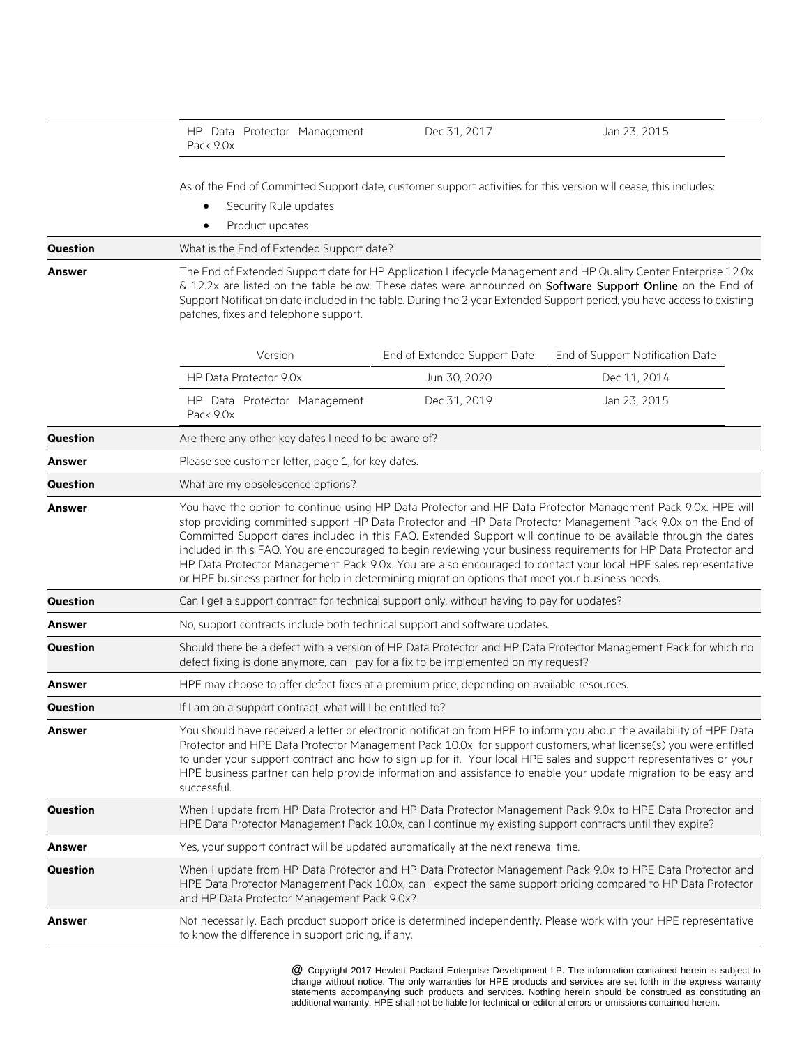|                 | HP Data Protector Management<br>Pack 9.0x                                                                                                                                                                                                                                                                                                                                                                                                                                                                                                                                                                                                                                               | Dec 31, 2017                 | Jan 23, 2015                                                                                                      |  |
|-----------------|-----------------------------------------------------------------------------------------------------------------------------------------------------------------------------------------------------------------------------------------------------------------------------------------------------------------------------------------------------------------------------------------------------------------------------------------------------------------------------------------------------------------------------------------------------------------------------------------------------------------------------------------------------------------------------------------|------------------------------|-------------------------------------------------------------------------------------------------------------------|--|
|                 | As of the End of Committed Support date, customer support activities for this version will cease, this includes:<br>Security Rule updates<br>Product updates<br>$\bullet$                                                                                                                                                                                                                                                                                                                                                                                                                                                                                                               |                              |                                                                                                                   |  |
| <b>Question</b> | What is the End of Extended Support date?                                                                                                                                                                                                                                                                                                                                                                                                                                                                                                                                                                                                                                               |                              |                                                                                                                   |  |
| Answer          | The End of Extended Support date for HP Application Lifecycle Management and HP Quality Center Enterprise 12.0x<br>& 12.2x are listed on the table below. These dates were announced on Software Support Online on the End of<br>Support Notification date included in the table. During the 2 year Extended Support period, you have access to existing<br>patches, fixes and telephone support.                                                                                                                                                                                                                                                                                       |                              |                                                                                                                   |  |
|                 | Version                                                                                                                                                                                                                                                                                                                                                                                                                                                                                                                                                                                                                                                                                 | End of Extended Support Date | End of Support Notification Date                                                                                  |  |
|                 | HP Data Protector 9.0x                                                                                                                                                                                                                                                                                                                                                                                                                                                                                                                                                                                                                                                                  | Jun 30, 2020                 | Dec 11, 2014                                                                                                      |  |
|                 | HP Data Protector Management<br>Pack 9.0x                                                                                                                                                                                                                                                                                                                                                                                                                                                                                                                                                                                                                                               | Dec 31, 2019                 | Jan 23, 2015                                                                                                      |  |
| Question        | Are there any other key dates I need to be aware of?                                                                                                                                                                                                                                                                                                                                                                                                                                                                                                                                                                                                                                    |                              |                                                                                                                   |  |
| Answer          | Please see customer letter, page 1, for key dates.                                                                                                                                                                                                                                                                                                                                                                                                                                                                                                                                                                                                                                      |                              |                                                                                                                   |  |
| <b>Question</b> | What are my obsolescence options?                                                                                                                                                                                                                                                                                                                                                                                                                                                                                                                                                                                                                                                       |                              |                                                                                                                   |  |
| Answer          | You have the option to continue using HP Data Protector and HP Data Protector Management Pack 9.0x. HPE will<br>stop providing committed support HP Data Protector and HP Data Protector Management Pack 9.0x on the End of<br>Committed Support dates included in this FAQ. Extended Support will continue to be available through the dates<br>included in this FAQ. You are encouraged to begin reviewing your business requirements for HP Data Protector and<br>HP Data Protector Management Pack 9.0x. You are also encouraged to contact your local HPE sales representative<br>or HPE business partner for help in determining migration options that meet your business needs. |                              |                                                                                                                   |  |
| <b>Question</b> | Can I get a support contract for technical support only, without having to pay for updates?                                                                                                                                                                                                                                                                                                                                                                                                                                                                                                                                                                                             |                              |                                                                                                                   |  |
| Answer          | No, support contracts include both technical support and software updates.                                                                                                                                                                                                                                                                                                                                                                                                                                                                                                                                                                                                              |                              |                                                                                                                   |  |
| Question        | Should there be a defect with a version of HP Data Protector and HP Data Protector Management Pack for which no<br>defect fixing is done anymore, can I pay for a fix to be implemented on my request?                                                                                                                                                                                                                                                                                                                                                                                                                                                                                  |                              |                                                                                                                   |  |
| Answer          | HPE may choose to offer defect fixes at a premium price, depending on available resources.                                                                                                                                                                                                                                                                                                                                                                                                                                                                                                                                                                                              |                              |                                                                                                                   |  |
| Question        | If I am on a support contract, what will I be entitled to?                                                                                                                                                                                                                                                                                                                                                                                                                                                                                                                                                                                                                              |                              |                                                                                                                   |  |
| Answer          | You should have received a letter or electronic notification from HPE to inform you about the availability of HPE Data<br>Protector and HPE Data Protector Management Pack 10.0x for support customers, what license(s) you were entitled<br>to under your support contract and how to sign up for it. Your local HPE sales and support representatives or your<br>HPE business partner can help provide information and assistance to enable your update migration to be easy and<br>successful.                                                                                                                                                                                       |                              |                                                                                                                   |  |
| Question        | When I update from HP Data Protector and HP Data Protector Management Pack 9.0x to HPE Data Protector and<br>HPE Data Protector Management Pack 10.0x, can I continue my existing support contracts until they expire?                                                                                                                                                                                                                                                                                                                                                                                                                                                                  |                              |                                                                                                                   |  |
| Answer          | Yes, your support contract will be updated automatically at the next renewal time.                                                                                                                                                                                                                                                                                                                                                                                                                                                                                                                                                                                                      |                              |                                                                                                                   |  |
| Question        | When I update from HP Data Protector and HP Data Protector Management Pack 9.0x to HPE Data Protector and<br>HPE Data Protector Management Pack 10.0x, can I expect the same support pricing compared to HP Data Protector<br>and HP Data Protector Management Pack 9.0x?                                                                                                                                                                                                                                                                                                                                                                                                               |                              |                                                                                                                   |  |
| Answer          | to know the difference in support pricing, if any.                                                                                                                                                                                                                                                                                                                                                                                                                                                                                                                                                                                                                                      |                              | Not necessarily. Each product support price is determined independently. Please work with your HPE representative |  |

\* @ Copyright 2017 Hewlett Packard Enterprise Development LP. The information contained herein is subject to change without notice. The only warranties for HPE products and services are set forth in the express warranty statements accompanying such products and services. Nothing herein should be construed as constituting an additional warranty. HPE shall not be liable for technical or editorial errors or omissions contained herein.